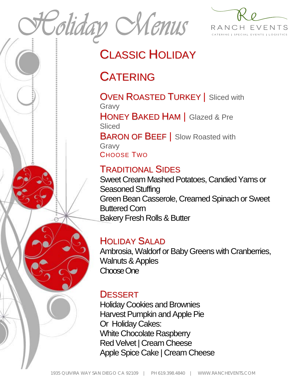Coliday Nenus



## CLASSIC HOLIDAY

## **CATERING**

**OVEN ROASTED TURKEY** | Sliced with Gravy HONEY BAKED HAM | Glazed & Pre **Sliced BARON OF BEEF** | Slow Roasted with Gravy CHOOSE TWO

## TRADITIONAL SIDES

Sweet Cream Mashed Potatoes, Candied Yams or Seasoned Stuffing Green Bean Casserole, Creamed Spinach or Sweet Buttered Corn Bakery Fresh Rolls & Butter

## HOLIDAY SALAD

Ambrosia, Waldorf or Baby Greens with Cranberries, Walnuts & Apples Choose One

### **DESSERT**

Holiday Cookies and Brownies Harvest Pumpkin and Apple Pie Or Holiday Cakes: White Chocolate Raspberry Red Velvet | Cream Cheese Apple Spice Cake | Cream Cheese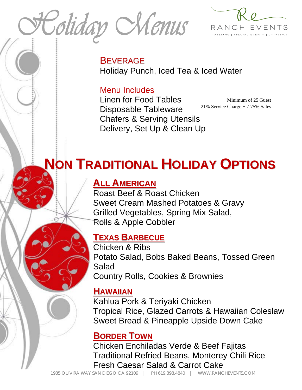Coliday Nenus



**BEVERAGE** Holiday Punch, Iced Tea & Iced Water

#### Menu Includes

Linen for Food Tables Disposable Tableware Chafers & Serving Utensils Delivery, Set Up & Clean Up

Minimum of 25 Guest 21% Service Charge + 7.75% Sales

# **NON TRADITIONAL HOLIDAY OPTIONS**

#### **ALL AMERICAN**

Roast Beef & Roast Chicken Sweet Cream Mashed Potatoes & Gravy Grilled Vegetables, Spring Mix Salad, Rolls & Apple Cobbler

#### **TEXAS BARBECUE**

Chicken & Ribs Potato Salad, Bobs Baked Beans, Tossed Green Salad Country Rolls, Cookies & Brownies

#### **HAWAIIAN**

Kahlua Pork & Teriyaki Chicken Tropical Rice, Glazed Carrots & Hawaiian Coleslaw Sweet Bread & Pineapple Upside Down Cake

#### **BORDER TOWN**

Chicken Enchiladas Verde & Beef Fajitas Traditional Refried Beans, Monterey Chili Rice Fresh Caesar Salad & Carrot Cake

1935 QUIVIRA WAY SAN DIEGO CA 92109 | PH 619.398.4840 | WWW.RANCHEVENTS.COM